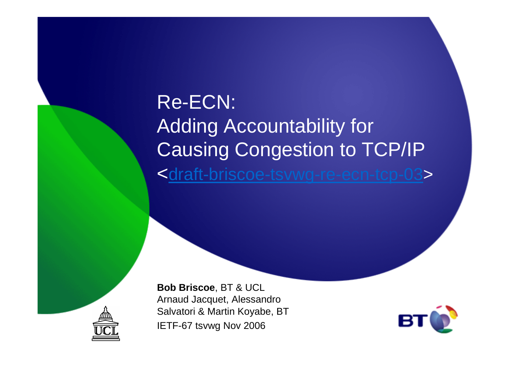Re-ECN:Adding Accountability for Causing Congestion to TCP/IP<<u>draft-briscoe-tsvwg-re-ecn-tcp-03</u>>



**Bob Briscoe**, BT & UCL Arnaud Jacquet, Alessandro Salvatori & Martin Koyabe, BTIETF-67 tsvwg Nov 2006

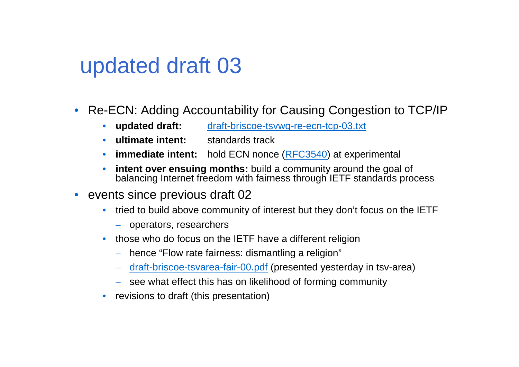# updated draft 03

- • Re-ECN: Adding Accountability for Causing Congestion to TCP/IP
	- •**updated draft:** draft-briscoe-tsvwg-re-ecn-tcp-03.txt
	- $\bullet$ **ultimate intent:** standards track
	- •**immediate intent:** hold ECN nonce (RFC3540) at experimental
	- $\bullet$  **intent over ensuing months:** build a community around the goal of balancing Internet freedom with fairness through IETF standards process
- events since previous draft 02
	- tried to build above community of interest but they don't focus on the IETF
		- operators, researchers
	- those who do focus on the IETF have a different religion
		- hence "Flow rate fairness: dismantling a religion"
		- $-$  draft-briscoe-tsvarea-fair-00.pdf (presented yesterday in tsv-area)
		- see what effect this has on likelihood of forming community
	- $\bullet$ revisions to draft (this presentation)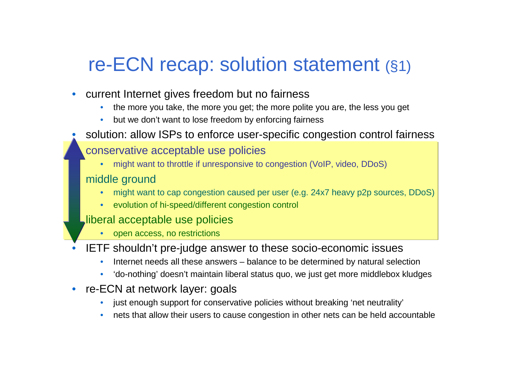# re-ECN recap: solution statement (§1)

- $\bullet$  current Internet gives freedom but no fairness
	- the more you take, the more you get; the more polite you are, the less you get  $\bullet$
	- •but we don't want to lose freedom by enforcing fairness
- •solution: allow ISPs to enforce user-specific congestion control fairness

### conservative acceptable use policies

 might want to throttle if unresponsive to congestion (VoIP, video, DDoS) •

#### middle ground

- might want to cap congestion caused per user (e.g. 24x7 heavy p2p sources, DDoS) •
- •evolution of hi-speed/different congestion control

#### liberal acceptable use policies

- •open access, no restrictions
- • IETF shouldn't pre-judge answer to these socio-economic issues
	- Internet needs all these answers balance to be determined by natural selection•
	- •'do-nothing' doesn't maintain liberal status quo, we just get more middlebox kludges
- $\bullet$  re-ECN at network layer: goals
	- $\bullet$ just enough support for conservative policies without breaking 'net neutrality'
	- •nets that allow their users to cause congestion in other nets can be held accountable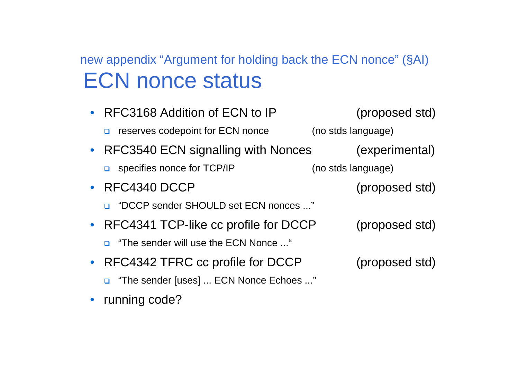## new appendix "Argument for holding back the ECN nonce" (§AI) ECN nonce status

| • RFC3168 Addition of ECN to IP               | (proposed std)     |
|-----------------------------------------------|--------------------|
| reserves codepoint for ECN nonce<br>$\Box$    | (no stds language) |
| • RFC3540 ECN signalling with Nonces          | (experimental)     |
| $\Box$ specifies nonce for TCP/IP             | (no stds language) |
| $\bullet$ RFC4340 DCCP                        | (proposed std)     |
| "DCCP sender SHOULD set ECN nonces "          |                    |
| • RFC4341 TCP-like cc profile for DCCP        | (proposed std)     |
| <b>D</b> "The sender will use the ECN Nonce " |                    |
| RFC4342 TFRC cc profile for DCCP              | (proposed std)     |
| "The sender [uses]  ECN Nonce Echoes "        |                    |

• running code?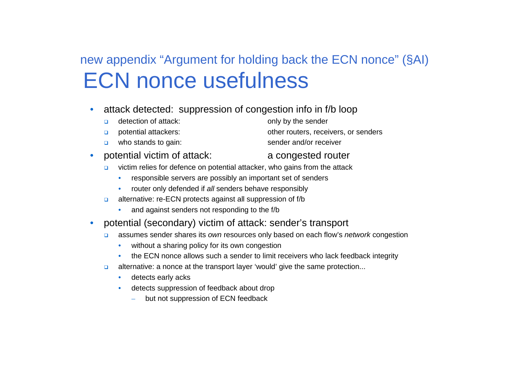## new appendix "Argument for holding back the ECN nonce" (§AI)ECN nonce usefulness

- • attack detected: suppression of congestion info in f/b loop
	- $\Box$
	- $\Box$
	- □ who stands to gain: sender and/or receiver
- $\bullet$  potential victim of attack: a congested router
	- $\Box$  victim relies for defence on potential attacker, who gains from the attack
		- $\bullet$ responsible servers are possibly an important set of senders
		- •router only defended if all senders behave responsibly
	- alternative: re-ECN protects against all suppression of f/b
		- and against senders not responding to the f/b
- • potential (secondary) victim of attack: sender's transport
	- $\Box$  assumes sender shares its own resources only based on each flow's network congestion
		- $\bullet$ without a sharing policy for its own congestion
		- the ECN nonce allows such a sender to limit receivers who lack feedback integrity•
	- $\Box$  alternative: a nonce at the transport layer 'would' give the same protection...
		- •detects early acks
		- • detects suppression of feedback about drop
			- –but not suppression of ECN feedback

detection of attack: only by the sender

potential attackers:  $\blacksquare$  other routers, receivers, or senders<br>who stands to gain:  $\blacksquare$  sender and/or receiver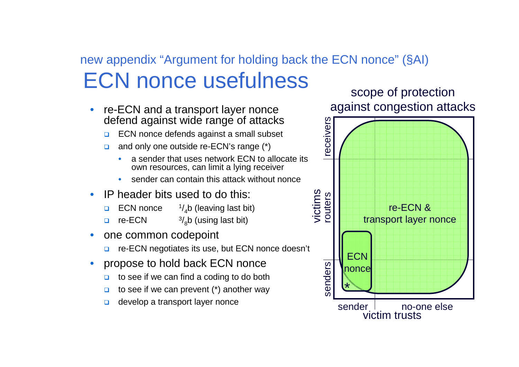## new appendix "Argument for holding back the ECN nonce" (§AI) ECN nonce usefulness

- • re-ECN and a transport layer nonce defend against wide range of attacks
	- □ ECN nonce defends against a small subset ❏
	- $\Box$  and only one outside re-ECN's range (\*)
		- • a sender that uses network ECN to allocate its own resources, can limit a lying receiver
		- •sender can contain this attack without nonce
- • IP header bits used to do this:
	- ❏ ECN nonce  $\frac{1}{4}$ b (leaving last bit)
	- □ re-ECN  $\frac{3}{8}$ b (using last bit)
- • one common codepoint
	- □ re-ECN negotiates its use, but ECN nonce doesn't
- • propose to hold back ECN nonce
	- □ to see if we can find a coding to do both  $\Box$
	- ❏ to see if we can prevent (\*) another way
	- $\Box$

scope of protectionagainst congestion attacks

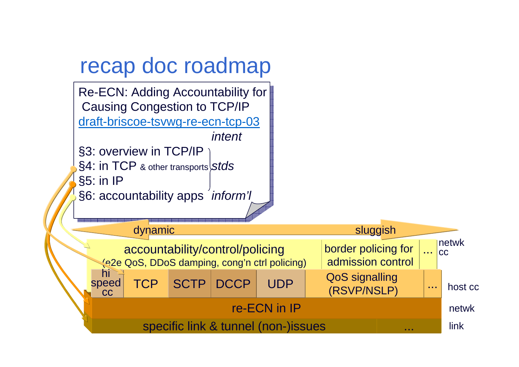# recap doc roadmap

Re-ECN: Adding Accountability for $\big|$ Causing Congestion to TCP/IP <u>draft-briscoe-tsvwg-re-ecn-tcp-03</u> intent §3: overview in TCP/IP  $\S4$ : <code>in TCP</code> & other transports $\big\vert$ S $t$ d $s$  $\S5:$  in IP $[$ 

§6: accountability apps *inform'l*<br>◇

| dynamic                                                                          |  |               |  |            |                                      | sluggish                                 |                                               |                       |  |
|----------------------------------------------------------------------------------|--|---------------|--|------------|--------------------------------------|------------------------------------------|-----------------------------------------------|-----------------------|--|
| accountability/control/policing<br>(e2e QoS, DDoS damping, cong'n ctrl policing) |  |               |  |            |                                      | border policing for<br>admission control |                                               | $n$ etwk<br><b>CC</b> |  |
| hi<br>speed<br><b>CC</b>                                                         |  | TCP SCTP DCCP |  | <b>UDP</b> | <b>QoS signalling</b><br>(RSVP/NSLP) |                                          | $\begin{array}{ccc} 0 & 0 & 0 \\ \end{array}$ | host cc               |  |
| re-ECN in IP                                                                     |  |               |  |            |                                      |                                          |                                               | netwk                 |  |
| specific link & tunnel (non-)issues<br>.                                         |  |               |  |            |                                      |                                          |                                               | link                  |  |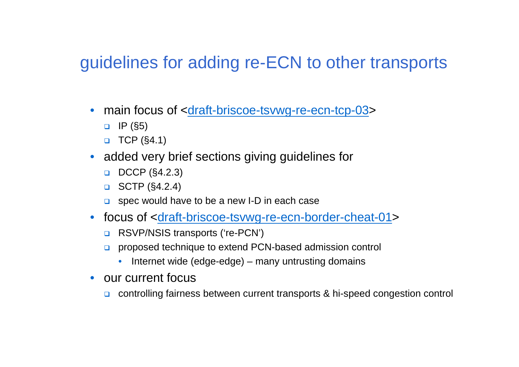### guidelines for adding re-ECN to other transports

- main focus of <<u>draft-briscoe-tsvwg-re-ecn-tcp-03</u>>
	- $\Box$  IP (§5)
	- $\Box$  TCP (§4.1)
- added very brief sections giving guidelines for
	- $\Box$  DCCP (§4.2.3)
	- $\Box$  SCTP (§4.2.4)
	- $\Box$  spec would have to be a new I-D in each case
- focus of <<u>draft-briscoe-tsvwg-re-ecn-border-cheat-01</u>>
	- □ RSVP/NSIS transports ('re-PCN')
	- proposed technique to extend PCN-based admission control
		- $\bullet$ Internet wide (edge-edge) – many untrusting domains
- our current focus
	- o controlling fairness between current transports & hi-speed congestion control